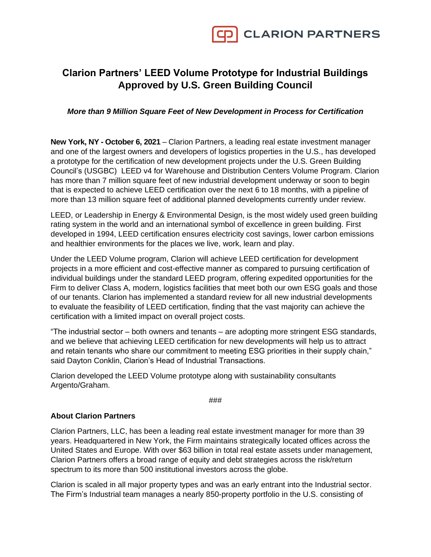

## **Clarion Partners' LEED Volume Prototype for Industrial Buildings Approved by U.S. Green Building Council**

## *More than 9 Million Square Feet of New Development in Process for Certification*

**New York, NY - October 6, 2021** – Clarion Partners, a leading real estate investment manager and one of the largest owners and developers of logistics properties in the U.S., has developed a prototype for the certification of new development projects under the U.S. Green Building Council's (USGBC) LEED v4 for Warehouse and Distribution Centers Volume Program. Clarion has more than 7 million square feet of new industrial development underway or soon to begin that is expected to achieve LEED certification over the next 6 to 18 months, with a pipeline of more than 13 million square feet of additional planned developments currently under review.

LEED, or Leadership in Energy & Environmental Design, is the most widely used green building rating system in the world and an international symbol of excellence in green building. First developed in 1994, LEED certification ensures electricity cost savings, lower carbon emissions and healthier environments for the places we live, work, learn and play.

Under the LEED Volume program, Clarion will achieve LEED certification for development projects in a more efficient and cost-effective manner as compared to pursuing certification of individual buildings under the standard LEED program, offering expedited opportunities for the Firm to deliver Class A, modern, logistics facilities that meet both our own ESG goals and those of our tenants. Clarion has implemented a standard review for all new industrial developments to evaluate the feasibility of LEED certification, finding that the vast majority can achieve the certification with a limited impact on overall project costs.

"The industrial sector – both owners and tenants – are adopting more stringent ESG standards, and we believe that achieving LEED certification for new developments will help us to attract and retain tenants who share our commitment to meeting ESG priorities in their supply chain," said Dayton Conklin, Clarion's Head of Industrial Transactions.

Clarion developed the LEED Volume prototype along with sustainability consultants Argento/Graham.

```
###
```
## **About Clarion Partners**

Clarion Partners, LLC, has been a leading real estate investment manager for more than 39 years. Headquartered in New York, the Firm maintains strategically located offices across the United States and Europe. With over \$63 billion in total real estate assets under management, Clarion Partners offers a broad range of equity and debt strategies across the risk/return spectrum to its more than 500 institutional investors across the globe.

Clarion is scaled in all major property types and was an early entrant into the Industrial sector. The Firm's Industrial team manages a nearly 850-property portfolio in the U.S. consisting of